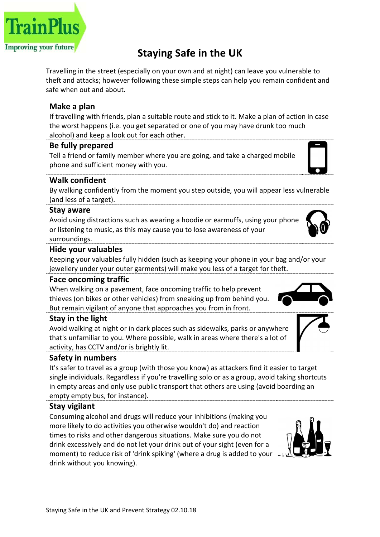# Staying Safe in the UK

Travelling in the street (especially on your own and at night) can leave you vulnerable to theft and attacks; however following these simple steps can help you remain confident and safe when out and about.

## Make a plan

If travelling with friends, plan a suitable route and stick to it. Make a plan of action in case the worst happens (i.e. you get separated or one of you may have drunk too much alcohol) and keep a look out for each other.

## Be fully prepared

Tell a friend or family member where you are going, and take a charged mobile phone and sufficient money with you.

## Walk confident

By walking confidently from the moment you step outside, you will appear less vulnerable (and less of a target).

#### Stay aware

Avoid using distractions such as wearing a hoodie or earmuffs, using your phone or listening to music, as this may cause you to lose awareness of your surroundings.

#### Hide your valuables

Keeping your valuables fully hidden (such as keeping your phone in your bag and/or your jewellery under your outer garments) will make you less of a target for theft.

## Face oncoming traffic

When walking on a pavement, face oncoming traffic to help prevent thieves (on bikes or other vehicles) from sneaking up from behind you. But remain vigilant of anyone that approaches you from in front.

## Stay in the light

Avoid walking at night or in dark places such as sidewalks, parks or anywhere that's unfamiliar to you. Where possible, walk in areas where there's a lot of activity, has CCTV and/or is brightly lit.

#### Safety in numbers

It's safer to travel as a group (with those you know) as attackers find it easier to target single individuals. Regardless if you're travelling solo or as a group, avoid taking shortcuts in empty areas and only use public transport that others are using (avoid boarding an empty empty bus, for instance).

## Stay vigilant

Consuming alcohol and drugs will reduce your inhibitions (making you more likely to do activities you otherwise wouldn't do) and reaction times to risks and other dangerous situations. Make sure you do not drink excessively and do not let your drink out of your sight (even for a moment) to reduce risk of 'drink spiking' (where a drug is added to your drink without you knowing).